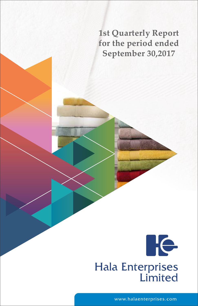**1st Quarterly Report for the period ended September 30,2017**



www.halaenterprises.com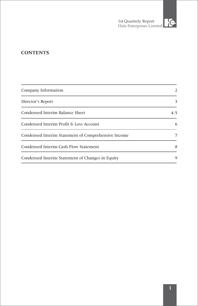### **CONTENTS**

| Company Information                                 | 2       |
|-----------------------------------------------------|---------|
| Director's Report                                   | 3       |
| Condensed Interim Balance Sheet                     | $4 - 5$ |
| Condensed Interim Profit & Loss Account             | 6       |
| Condensed Interim Statement of Comprehensive Income | 7       |
| Condensed Interim Cash Flow Statement               | 8       |
| Condensed Interim Statement of Changes in Equity    | 9       |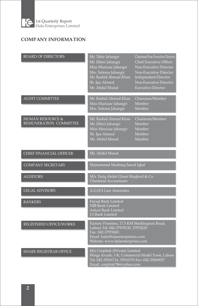

## **COMPANY INFORMATION**

| <b>BOARD OF DIRECTORS</b>                             | Mr. Tahir Jahangir<br>Mr. Jillani Jahangir<br>Miss Munizae Jahangir<br>Mrs. Sulema Jahangir<br>Mr. Rashid Ahmad Khan<br>Sh. Ijaz Ahmed<br>Mr. Abdul Munaf                      | Chairman/Non Executive Director<br><b>Chief Executive Officer</b><br>Non-Executive Director<br>Non-Executive Director<br>Independent Director<br>Non-Executive Director<br><b>Executive Director</b> |
|-------------------------------------------------------|--------------------------------------------------------------------------------------------------------------------------------------------------------------------------------|------------------------------------------------------------------------------------------------------------------------------------------------------------------------------------------------------|
| <b>AUDIT COMMITTEE</b>                                | Mr. Rashid Ahmad Khan<br>Miss Munizae Jahangir<br>Mrs. Sulema Jahangir                                                                                                         | Chairman/Member<br>Member<br>Member                                                                                                                                                                  |
| <b>HUMAN RESOURCE &amp;</b><br>REMUNERATION COMMITTEE | Mr. Rashid Ahmad Khan<br>Mr. Jillani Jahangir<br>Miss Munizae Jahangir<br>Sh. Ijaz Ahmed<br>Mr. Abdul Munaf                                                                    | Chairman/Member<br>Member<br>Member<br>Member<br>Member                                                                                                                                              |
| CHIEF FINANCIAL OFFICER                               | Mr. Abdul Munaf                                                                                                                                                                |                                                                                                                                                                                                      |
| <b>COMPANY SECRETARY</b>                              | Muhammad Mushtaq Saeed Iqbal                                                                                                                                                   |                                                                                                                                                                                                      |
| <b>AUDITORS</b>                                       | M/s. Tariq Abdul Ghani Maqbool & Co.<br>Chartered Accountants                                                                                                                  |                                                                                                                                                                                                      |
| <b>LEGAL ADVISORS</b>                                 | A.G.H.S Law Associates                                                                                                                                                         |                                                                                                                                                                                                      |
| <b>BANKERS</b>                                        | Faysal Bank Limited<br>NIB Bank Limited<br>Askari Bank Limited<br>J.S Bank Limited                                                                                             |                                                                                                                                                                                                      |
| REGISTERED OFFICE/WORKS                               | Factory Premises, 17.5 KM Sheikhupura Road,<br>Lahore Tel: 042-37970130, 37970230<br>Fax: 042-37970681<br>Email. hala@halaenterprieses.com<br>Website: www.halaenterprises.com |                                                                                                                                                                                                      |
| <b>SHARE REGISTRAR OFFICE</b>                         | M/s Corplink (Private) Limited<br>Wings Arcade, 1-K, Commercial Model Town, Lahore<br>Tel: 042-35916714, 35916719 Fax: 042-35869037<br>Email. corplink786@yahoo.com            |                                                                                                                                                                                                      |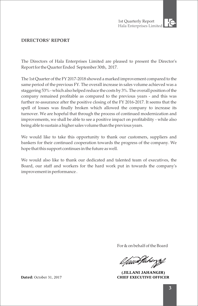

### **DIRECTORS' REPORT**

The Directors of Hala Enterprises Limited are pleased to present the Director's Report for the Quarter Ended September 30th, 2017.

The 1st Quarter of the FY 2017-2018 showed a marked improvement compared to the same period of the previous FY. The overall increase in sales volume achieved was a staggering 53% - which also helped reduce the costs by 3%. The overall position of the company remained profitable as compared to the previous years - and this was further re-assurance after the positive closing of the FY 2016-2017. It seems that the spell of losses was finally broken which allowed the company to increase its turnover. We are hopeful that through the process of continued modernization and improvements, we shall be able to see a positive impact on profitability - while also being able to sustain a higher sales volume than the previous years.

We would like to take this opportunity to thank our customers, suppliers and bankers for their continued cooperation towards the progress of the company. We hope that this support continues in the future as well.

We would also like to thank our dedicated and talented team of executives, the Board, our staff and workers for the hard work put in towards the company's improvement in performance .

For & on behalf of the Board

l*fuanJaho*zzi

**(JILLANI JAHANGIR) Dated:** October 31, 2017 **CHIEF EXECUTIVE OFFICER**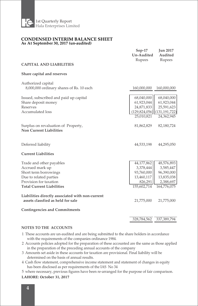

#### **CONDENSED INTERIM BALANCE SHEET As At September 30, 2017 (un-audited)**

| <b>CAPITAL AND LIABILITIES</b>                                                                                                                                                                                                                                                                | $Sep-17$<br>Un-Audited<br>Rupees                                                            | <b>Jun 2017</b><br>Audited<br>Rupees                                                          |
|-----------------------------------------------------------------------------------------------------------------------------------------------------------------------------------------------------------------------------------------------------------------------------------------------|---------------------------------------------------------------------------------------------|-----------------------------------------------------------------------------------------------|
| Share capital and reserves                                                                                                                                                                                                                                                                    |                                                                                             |                                                                                               |
| Authorized capital<br>8,000,000 ordinary shares of Rs. 10 each                                                                                                                                                                                                                                | 160,000,000                                                                                 | 160,000,000                                                                                   |
| Issued, subscribed and paid up capital<br>Share deposit money<br>Reserves<br>Accumulated loss                                                                                                                                                                                                 | 68,040,000<br>61,923,044<br>24,871,833<br>25,010,821                                        | 68,040,000<br>61,923,044<br>25,591,623<br>(129,824,056) (131,191,722)<br>24,362,945           |
| Surplus on revaluation of Property,<br><b>Non Current Liabilities</b>                                                                                                                                                                                                                         | 81,862,829                                                                                  | 82,180,724                                                                                    |
| Deferred liability                                                                                                                                                                                                                                                                            | 44,533,198                                                                                  | 44,295,050                                                                                    |
| <b>Current Liabilities</b>                                                                                                                                                                                                                                                                    |                                                                                             |                                                                                               |
| Trade and other payables<br>Accrued mark up<br>Short term borrowings<br>Due to related parties<br>Provision for taxation<br><b>Total Current Liabilities</b><br>Liabilities directly associated with non-current<br>assets classfied as held for sale<br><b>Contingencies and Commitments</b> | 44,177,862<br>3,378,444<br>93,760,000<br>13,460,117<br>826,291<br>155,602,714<br>21,775,000 | 48,576,893<br>3,585,447<br>96,390,000<br>13,835,038<br>2,388,697<br>164,776,075<br>21,775,000 |
|                                                                                                                                                                                                                                                                                               | 328,784,562                                                                                 | 337,389,794                                                                                   |

#### **NOTES TO THE ACCOUNTS**

- 1 These accounts are un-audited and are being submitted to the share holders in accordance with the requirements of the companies ordinance 1984.
- in the preparation of the preceding annual accounts of the company 2 Accounts policies adopted for the preparation of these accounted are the same as those applied
- 3 Amounts set aside in these accounts for taxation are provisional. Final liability will be determined on the basis of annual results.
- 4 Cash flow statement, comprehensive income statement and statement of changes in equity has been disclosed as per requirements of the IAS No 34
- 5 where necessary, previous figures have been re-arranged for the purpose of fair comparison.

#### **LAHORE: October 31, 2017**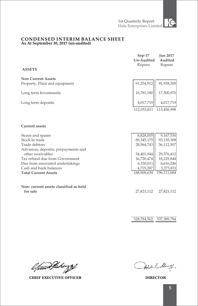#### **CONDENSED INTERIM BALANCE SHEET As At September 30, 2017 (un-audited)**

| <b>ASSETS</b>                                     | $Sep-17$<br>Un-Audited<br>Rupees | <b>Jun 2017</b><br>Audited<br>Rupees |
|---------------------------------------------------|----------------------------------|--------------------------------------|
|                                                   |                                  |                                      |
| <b>Non Current Assets</b>                         |                                  |                                      |
| Property, Plant and equipment                     | 91,254,912                       | 91,938,309                           |
| Long term Investments                             | 16,781,180                       | 17,500,970                           |
| Long term deposits                                | 4,017,719                        | 4,017,719                            |
|                                                   | 112,053,811                      | 113,456,998                          |
| <b>Current assets</b>                             |                                  |                                      |
| Stores and spares                                 | 8,828,005                        | 9,167,536                            |
| Stock in trade                                    | 89, 345, 175                     | 93,135,308                           |
| Trade debtors                                     | 28,564,743                       | 36,112,507                           |
| Advances, deposits, prepayments and               |                                  |                                      |
| other receivables                                 | 34,401,944                       | 29,576,412                           |
| Tax refund due from Government                    | 16,720,474                       | 18,229,844                           |
| Due from associated undertakings                  | 6,330,011                        | 6,616,246                            |
| Cash and bank balances                            | 4,719,287                        | 3,273,831                            |
| <b>Total Current Assets</b>                       | 188,909,639                      | 196,111,684                          |
| Non-current assets classified as held<br>for sale | 27,821,112                       | 27,821,112                           |
|                                                   |                                  |                                      |
|                                                   |                                  |                                      |

328,784,562 337,389,794

l*fuur*Varingsf

**CHIEF EXECUTIVE OFFICER DIRECTOR**

Alexand Many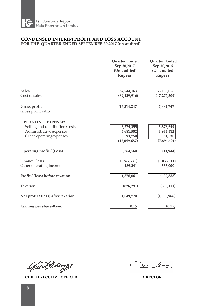

#### **CONDENSED INTERIM PROFIT AND LOSS ACCOUNT FOR THE QUARTER ENDED SEPTEMBER 30,2017 (un-audited)**

|                                                                                                                    | <b>Ouarter Ended</b><br>Sep 30,2017<br>(Un-audited)<br><b>Rupees</b> | <b>Ouarter Ended</b><br>Sep 30,2016<br>(Un-audited)<br><b>Rupees</b> |
|--------------------------------------------------------------------------------------------------------------------|----------------------------------------------------------------------|----------------------------------------------------------------------|
| <b>Sales</b><br>Cost of sales                                                                                      | 84,744,163<br>(69, 429, 916)                                         | 55,160,056<br>(47, 277, 309)                                         |
| Gross profit<br>Gross profit ratio                                                                                 | 15,314,247                                                           | 7,882,747                                                            |
| <b>OPERATING EXPENSES</b><br>Selling and distribution Costs<br>Administrative expenses<br>Other operating expenses | 6,274,355<br>5,681,582<br>93,750<br>(12,049,687)                     | 3,878,649<br>3,934,512<br>81,530<br>(7,894,691)                      |
| Operating profit / (Loss)                                                                                          | 3,264,560                                                            | (11, 944)                                                            |
| <b>Finance Costs</b><br>Other operating income                                                                     | (1,877,740)<br>489,241                                               | (1,035,911)<br>555,000                                               |
| Profit / (loss) before taxation                                                                                    | 1,876,061                                                            | (492, 855)                                                           |
| Taxation                                                                                                           | (826, 291)                                                           | (538, 111)                                                           |
| Net profit / (loss) after taxation                                                                                 | 1,049,770                                                            | (1,030,966)                                                          |
| Earning per share-Basic                                                                                            | 0.15                                                                 | (0.15)                                                               |

l/www.fakirzy

**CHIEF EXECUTIVE OFFICER DIRECTOR**

Hoden & Alamay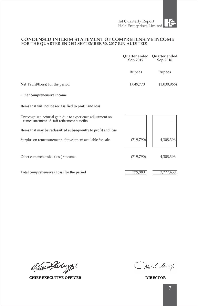#### **CONDENSED INTERIM STATEMENT OF COMPREHENSIVE INCOME FOR THE QUARTER ENDED SEPTEMBER 30, 2017 (UN AUDITED)**

|                                                                                                          | Ouarter ended<br>Sep.2017 | Quarter ended<br>Sep.2016 |
|----------------------------------------------------------------------------------------------------------|---------------------------|---------------------------|
|                                                                                                          | Rupees                    | Rupees                    |
| Net Profit/(Loss) for the period                                                                         | 1,049,770                 | (1,030,966)               |
| Other comprehensive income                                                                               |                           |                           |
| Items that will not be reclassified to profit and loss                                                   |                           |                           |
| Unrecognised acturial gain due to experience adjustment on<br>remeasurement of staff retirement benefits |                           |                           |
| Items that may be reclassified subsequently to profit and loss                                           |                           |                           |
| Surplus on remeasurement of investment available for sale                                                | (719, 790)                | 4,308,396                 |
| Other comprehensive (loss)/income                                                                        | (719, 790)                | 4,308,396                 |
| Total comprehensive (Loss) for the period                                                                | 329,980                   | 3,277,430                 |

l*fuurfakingsf* 

**CHIEF EXECUTIVE OFFICER DIRECTOR**

Hoden Alamay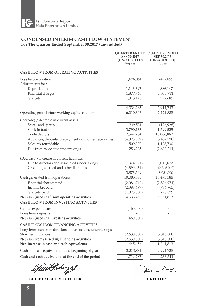

#### **CONDENSED INTERIM CASH FLOW STATEMENT For The Quarter Ended September 30,2017 (un-audited)**

|                                                                                                                                                                                                                                                                                                                                                                                                                                                                                                                                                                 | SEP 30,2017<br>(UN-AUDITED)<br>Rupees                                                                                                                                                      | OUARTER ENDED OUARTER ENDED<br>SEP 30,2016<br>(UN-AUDITED)<br>Rupees                                                                                                                             |
|-----------------------------------------------------------------------------------------------------------------------------------------------------------------------------------------------------------------------------------------------------------------------------------------------------------------------------------------------------------------------------------------------------------------------------------------------------------------------------------------------------------------------------------------------------------------|--------------------------------------------------------------------------------------------------------------------------------------------------------------------------------------------|--------------------------------------------------------------------------------------------------------------------------------------------------------------------------------------------------|
| <b>CASH FLOW FROM OPERATING ACTIVITIES</b>                                                                                                                                                                                                                                                                                                                                                                                                                                                                                                                      |                                                                                                                                                                                            |                                                                                                                                                                                                  |
| Loss before taxation<br>Adjustments for:<br>Depreciation<br>Financial charges<br>Gratuity                                                                                                                                                                                                                                                                                                                                                                                                                                                                       | 1,876,061<br>1,143,397<br>1,877,740<br>1,313,148                                                                                                                                           | (492, 855)<br>886,147<br>1,035,911<br>992,685                                                                                                                                                    |
| Operating profit before working capital changes                                                                                                                                                                                                                                                                                                                                                                                                                                                                                                                 | 4,334,285<br>6,210,346                                                                                                                                                                     | 2,914,743<br>2,421,888                                                                                                                                                                           |
| (Increase) / decrease in current assets<br>Stores and spares<br>Stock in trade<br>Trade debtors<br>Advances, deposits, prepayments and other receivables<br>Sales tax refundable<br>Due from associated undertakings<br>(Decrease)/ increase in current liabilities<br>Due to directors and associated undertakings<br>Creditors, accrued and other liabilities<br>Cash generated from operations<br>Financial charges paid<br>Income tax paid<br>Gratuity paid<br>Net cash (used in) / from operating activities<br><b>CASH FLOW FROM INVESTING ACTIVITIES</b> | 339,531<br>3,790,133<br>7,547,764<br>(4,825,532)<br>1,509,370<br>286,235<br>(374, 921)<br>(4,399,031)<br>3,873,549<br>10,083,895<br>(2,084,742)<br>(2,388,697)<br>(1,075,000)<br>4,535,456 | (196, 928)<br>1,599,525<br>10,066,867<br>(5,432,920)<br>1,178,730<br>(2,833,211)<br>6,015,677<br>(2,346,040)<br>8,051,700<br>10,473,588<br>(2,836,971)<br>(786, 765)<br>(1,798,039)<br>5,051,813 |
| Capital expenditure<br>Long term deposits<br>Net cash (used in) investing activities                                                                                                                                                                                                                                                                                                                                                                                                                                                                            | (460,000)<br>(460,000)                                                                                                                                                                     |                                                                                                                                                                                                  |
| <b>CASH FLOW FROM FINANCING ACTIVITIES</b><br>Long term loan from directors and associated undertakings<br>Short term finances<br>Net cash from / (used in) financing activities<br>Net increase in cash and cash equivalents<br>Cash and cash equivalents at the beginning of year<br>Cash and cash equivalents at the end of the period                                                                                                                                                                                                                       | (2,630,000)<br>(2,630,000)<br>1,445,456<br>3,273,831<br>4,719,287                                                                                                                          | (3,810,000)<br>(3,810,000)<br>1,241,813<br>2,994,728<br>4,236,541                                                                                                                                |
|                                                                                                                                                                                                                                                                                                                                                                                                                                                                                                                                                                 |                                                                                                                                                                                            |                                                                                                                                                                                                  |

l*fuur*Varingsf

**CHIEF EXECUTIVE OFFICER DIRECTOR**

Alsolan C. Ale

~7--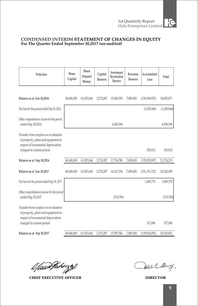## **CONDENSED INTERIM STATEMENT OF CHANGES IN EQUITY For The Quarter Ended September 30,2017 (un-audited)**

| Particulars                                                                                                        | Share<br>Capital | Share<br>Deposit<br>Money | Capital<br>Reserve | Investment<br>Revaluation<br>Reserve | Revenue<br>Reserve | Accccumulated<br>Loss | Total       |
|--------------------------------------------------------------------------------------------------------------------|------------------|---------------------------|--------------------|--------------------------------------|--------------------|-----------------------|-------------|
|                                                                                                                    |                  |                           |                    |                                      |                    |                       |             |
| Balance as at Jun 30,2016                                                                                          | 68,040,000       | 61,923,044                | 2,274,287          | 13,408,393                           | 7,000,000          | (134,549,853)         | 18,095,871  |
| Net loss for the period ended Sep 30, 2016                                                                         |                  |                           |                    |                                      |                    | (1,030,966)           | (1,030,966) |
| Other comprehensive incone for the period<br>ended Sep 30,2016                                                     |                  |                           |                    | 4,308,396                            |                    |                       | 4,308,396   |
| Transfer from surplus on revaluation<br>of property, plant and equipment in<br>respect of incremental depreciation |                  |                           |                    |                                      |                    |                       |             |
| charged in current period                                                                                          |                  |                           |                    |                                      |                    | 350,912               | 350,912     |
| Balance as at Sep 30,2016                                                                                          | 68,040,000       | 61,923,044                | 2,274,287          | 17,716,789                           | 7,000,000          | (135, 229, 907)       | 21,724,213  |
| Balance as at Jun 30,2017                                                                                          | 68,040,000       | 61,923,044                | 2,274,287          | 16,317,336                           | 7,000,000          | (131, 191, 722)       | 24,362,945  |
| Net loss for the period ended Sep 30, 2017                                                                         |                  |                           |                    |                                      |                    | 1,049,770             | 1,049,770   |
| Other comprehensive incone for the period<br>ended Sep 30,2017                                                     |                  |                           |                    | (719,790)                            |                    |                       | (719, 790)  |
| Transfer from surplus on revaluation<br>of property, plant and equipment in<br>respect of incremental depreciation |                  |                           |                    |                                      |                    |                       |             |
| charged in current period                                                                                          |                  |                           |                    |                                      |                    | 317,896               | 317,896     |
| Balance as at Sep 30,2017                                                                                          | 68,040,000       | 61,923,044                | 2,274,287          | 15,597,546                           | 7,000,000          | (129, 824, 056)       | 25,010,821  |

l*fuur*Varingsf

**CHIEF EXECUTIVE OFFICER DIRECTOR**

Alexand Many